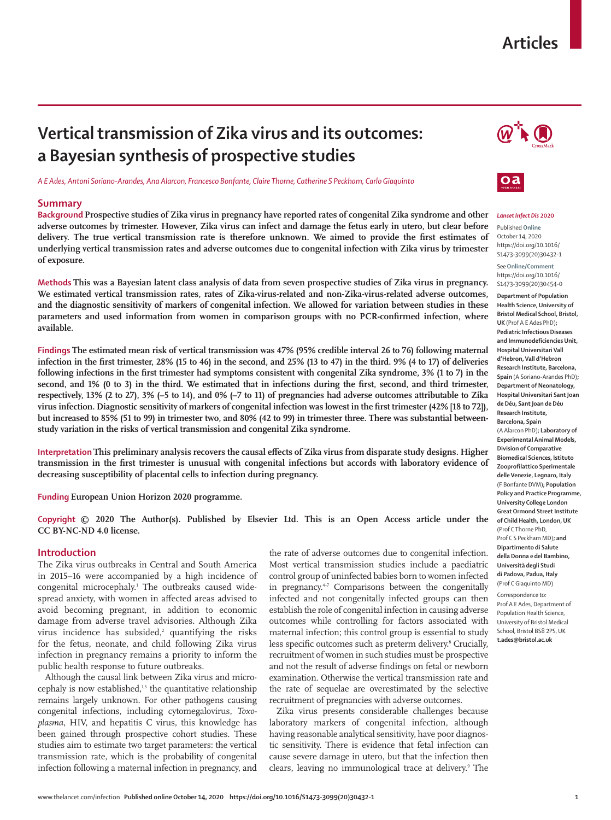# **Articles**

# **Vertical transmission of Zika virus and its outcomes: a Bayesian synthesis of prospective studies**

*A E Ades, Antoni Soriano-Arandes, Ana Alarcon, Francesco Bonfante, Claire Thorne, Catherine S Peckham, Carlo Giaquinto*

## **Summary**

**Background Prospective studies of Zika virus in pregnancy have reported rates of congenital Zika syndrome and other adverse outcomes by trimester. However, Zika virus can infect and damage the fetus early in utero, but clear before delivery. The true vertical transmission rate is therefore unknown. We aimed to provide the first estimates of underlying vertical transmission rates and adverse outcomes due to congenital infection with Zika virus by trimester of exposure.**

**Methods This was a Bayesian latent class analysis of data from seven prospective studies of Zika virus in pregnancy. We estimated vertical transmission rates, rates of Zika-virus-related and non-Zika-virus-related adverse outcomes, and the diagnostic sensitivity of markers of congenital infection. We allowed for variation between studies in these parameters and used information from women in comparison groups with no PCR-confirmed infection, where available.**

**Findings The estimated mean risk of vertical transmission was 47% (95% credible interval 26 to 76) following maternal infection in the first trimester, 28% (15 to 46) in the second, and 25% (13 to 47) in the third. 9% (4 to 17) of deliveries following infections in the first trimester had symptoms consistent with congenital Zika syndrome, 3% (1 to 7) in the second, and 1% (0 to 3) in the third. We estimated that in infections during the first, second, and third trimester, respectively, 13% (2 to 27), 3% (–5 to 14), and 0% (–7 to 11) of pregnancies had adverse outcomes attributable to Zika virus infection. Diagnostic sensitivity of markers of congenital infection was lowest in the first trimester (42% [18 to 72]), but increased to 85% (51 to 99) in trimester two, and 80% (42 to 99) in trimester three. There was substantial betweenstudy variation in the risks of vertical transmission and congenital Zika syndrome.**

**Interpretation This preliminary analysis recovers the causal effects of Zika virus from disparate study designs. Higher transmission in the first trimester is unusual with congenital infections but accords with laboratory evidence of decreasing susceptibility of placental cells to infection during pregnancy.**

**Funding European Union Horizon 2020 programme.**

**Copyright © 2020 The Author(s). Published by Elsevier Ltd. This is an Open Access article under the CC BY-NC-ND 4.0 license.**

## **Introduction**

The Zika virus outbreaks in Central and South America in 2015–16 were accompanied by a high incidence of congenital microcephaly.<sup>1</sup> The outbreaks caused widespread anxiety, with women in affected areas advised to avoid becoming pregnant, in addition to economic damage from adverse travel advisories. Although Zika virus incidence has subsided,<sup>2</sup> quantifying the risks for the fetus, neonate, and child following Zika virus infection in pregnancy remains a priority to inform the public health response to future outbreaks.

Although the causal link between Zika virus and microcephaly is now established, $1,3$  the quantitative relationship remains largely unknown. For other pathogens causing congenital infections, including cytomegalovirus, *Toxoplasma*, HIV, and hepatitis C virus, this knowledge has been gained through prospective cohort studies. These studies aim to estimate two target parameters: the vertical transmission rate, which is the probability of congenital infection following a maternal infection in pregnancy, and the rate of adverse outcomes due to congenital infection. Most vertical transmission studies include a paediatric control group of uninfected babies born to women infected in pregnancy. $47$  Comparisons between the congenitally infected and not congenitally infected groups can then establish the role of congenital infection in causing adverse outcomes while controlling for factors associated with maternal infection; this control group is essential to study less specific outcomes such as preterm delivery.<sup>8</sup> Crucially, recruitment of women in such studies must be prospective and not the result of adverse findings on fetal or newborn examination. Otherwise the vertical transmission rate and the rate of sequelae are overestimated by the selective recruitment of pregnancies with adverse outcomes.

Zika virus presents considerable challenges because laboratory markers of congenital infection, although having reasonable analytical sensitivity, have poor diagnostic sensitivity. There is evidence that fetal infection can cause severe damage in utero, but that the infection then clears, leaving no immunological trace at delivery.<sup>9</sup> The





#### *Lancet Infect Dis* **2020**

Published **Online** October 14, 2020 https://doi.org/10.1016/ S1473-3099(20)30432-1

See**Online/Comment** https://doi.org/10.1016/ S1473-3099(20)30454-0

**Department of Population Health Science, University of Bristol Medical School, Bristol, UK** (Prof A E Ades PhD)**; Pediatric Infectious Diseases and Immunodeficiencies Unit, Hospital Universitari Vall d'Hebron, Vall d'Hebron Research Institute, Barcelona, Spain** (A Soriano-Arandes PhD)**; Department of Neonatology, Hospital Universitari Sant Joan de Déu, Sant Joan de Déu Research Institute, Barcelona, Spain**

(A Alarcon PhD)**; Laboratory of Experimental Animal Models, Division of Comparative Biomedical Sciences, Istituto Zooprofilattico Sperimentale delle Venezie, Legnaro, Italy**  (F Bonfante DVM)**; Population Policy and Practice Programme, University College London Great Ormond Street Institute of Child Health, London, UK**  (Prof C Thorne PhD, Prof C S Peckham MD)**; and Dipartimento di Salute della Donna e del Bambino, Università degli Studi di Padova, Padua, Italy** (Prof C Giaquinto MD)

Correspondence to: Prof A E Ades, Department of Population Health Science, University of Bristol Medical School, Bristol BS8 2PS, UK **t.ades@bristol.ac.uk**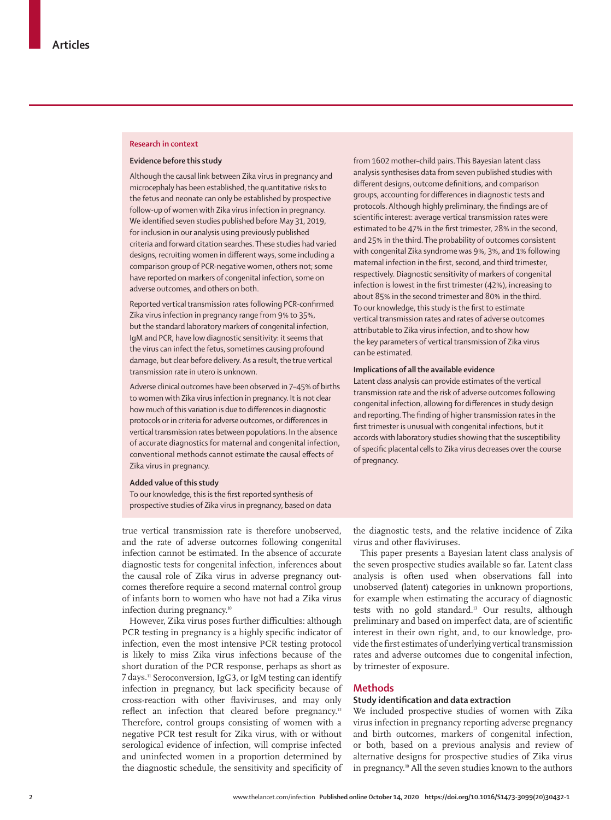#### **Research in context**

### **Evidence before this study**

Although the causal link between Zika virus in pregnancy and microcephaly has been established, the quantitative risks to the fetus and neonate can only be established by prospective follow-up of women with Zika virus infection in pregnancy. We identified seven studies published before May 31, 2019, for inclusion in our analysis using previously published criteria and forward citation searches. These studies had varied designs, recruiting women in different ways, some including a comparison group of PCR-negative women, others not; some have reported on markers of congenital infection, some on adverse outcomes, and others on both.

Reported vertical transmission rates following PCR-confirmed Zika virus infection in pregnancy range from 9% to 35%, but the standard laboratory markers of congenital infection, IgM and PCR, have low diagnostic sensitivity: it seems that the virus can infect the fetus, sometimes causing profound damage, but clear before delivery. As a result, the true vertical transmission rate in utero is unknown.

Adverse clinical outcomes have been observed in 7–45% of births to women with Zika virus infection in pregnancy. It is not clear how much of this variation is due to differences in diagnostic protocols or in criteria for adverse outcomes, or differences in vertical transmission rates between populations. In the absence of accurate diagnostics for maternal and congenital infection, conventional methods cannot estimate the causal effects of Zika virus in pregnancy.

### **Added value of this study**

To our knowledge, this is the first reported synthesis of prospective studies of Zika virus in pregnancy, based on data

true vertical transmission rate is therefore unobserved, and the rate of adverse outcomes following congenital infection cannot be estimated. In the absence of accurate diagnostic tests for congenital infection, inferences about the causal role of Zika virus in adverse pregnancy outcomes therefore require a second maternal control group of infants born to women who have not had a Zika virus infection during pregnancy.<sup>10</sup>

However, Zika virus poses further difficulties: although PCR testing in pregnancy is a highly specific indicator of infection, even the most intensive PCR testing protocol is likely to miss Zika virus infections because of the short duration of the PCR response, perhaps as short as 7 days.11 Seroconversion, IgG3, or IgM testing can identify infection in pregnancy, but lack specificity because of cross-reaction with other flaviviruses, and may only reflect an infection that cleared before pregnancy.<sup>12</sup> Therefore, control groups consisting of women with a negative PCR test result for Zika virus, with or without serological evidence of infection, will comprise infected and uninfected women in a proportion determined by the diagnostic schedule, the sensitivity and specificity of

from 1602 mother–child pairs. This Bayesian latent class analysis synthesises data from seven published studies with different designs, outcome definitions, and comparison groups, accounting for differences in diagnostic tests and protocols. Although highly preliminary, the findings are of scientific interest: average vertical transmission rates were estimated to be 47% in the first trimester, 28% in the second, and 25% in the third. The probability of outcomes consistent with congenital Zika syndrome was 9%, 3%, and 1% following maternal infection in the first, second, and third trimester, respectively. Diagnostic sensitivity of markers of congenital infection is lowest in the first trimester (42%), increasing to about 85% in the second trimester and 80% in the third. To our knowledge, this study is the first to estimate vertical transmission rates and rates of adverse outcomes attributable to Zika virus infection, and to show how the key parameters of vertical transmission of Zika virus can be estimated.

## **Implications of all the available evidence**

Latent class analysis can provide estimates of the vertical transmission rate and the risk of adverse outcomes following congenital infection, allowing for differences in study design and reporting. The finding of higher transmission rates in the first trimester is unusual with congenital infections, but it accords with laboratory studies showing that the susceptibility of specific placental cells to Zika virus decreases over the course of pregnancy.

the diagnostic tests, and the relative incidence of Zika virus and other flaviviruses.

This paper presents a Bayesian latent class analysis of the seven prospective studies available so far. Latent class analysis is often used when observations fall into unobserved (latent) categories in unknown proportions, for example when estimating the accuracy of diagnostic tests with no gold standard.13 Our results, although preliminary and based on imperfect data, are of scientific interest in their own right, and, to our knowledge, provide the first estimates of underlying vertical transmission rates and adverse outcomes due to congenital infection, by trimester of exposure.

## **Methods**

## **Study identification and data extraction**

We included prospective studies of women with Zika virus infection in pregnancy reporting adverse pregnancy and birth outcomes, markers of congenital infection, or both, based on a previous analysis and review of alternative designs for prospective studies of Zika virus in pregnancy.10 All the seven studies known to the authors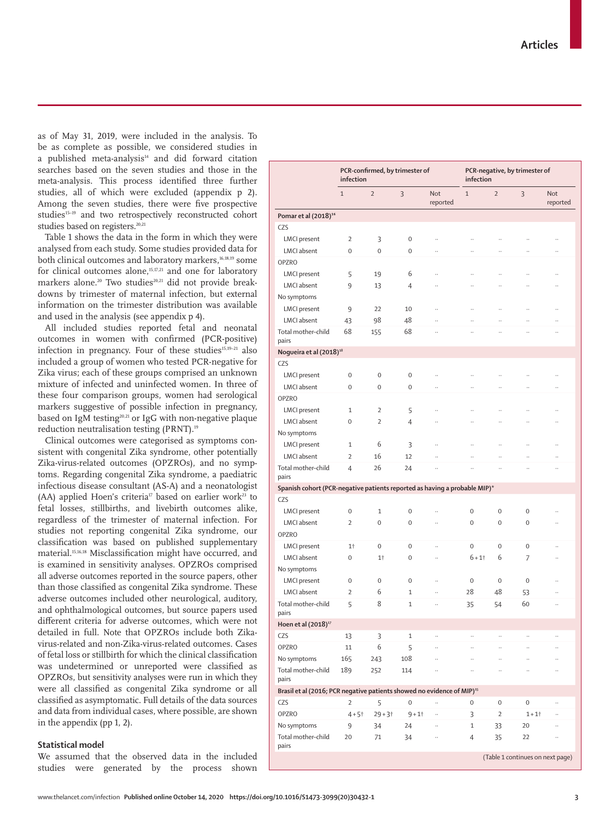as of May 31, 2019, were included in the analysis. To be as complete as possible, we considered studies in a published meta-analysis $14$  and did forward citation searches based on the seven studies and those in the meta-analysis. This process identified three further studies, all of which were excluded (appendix p 2). Among the seven studies, there were five prospective studies<sup>15-19</sup> and two retrospectively reconstructed cohort studies based on registers.<sup>20,21</sup>

Table 1 shows the data in the form in which they were analysed from each study. Some studies provided data for both clinical outcomes and laboratory markers,16,18,19 some for clinical outcomes alone,<sup>15,17,21</sup> and one for laboratory markers alone.<sup>20</sup> Two studies<sup>20,21</sup> did not provide breakdowns by trimester of maternal infection, but external information on the trimester distribution was available and used in the analysis (see appendix p 4).

All included studies reported fetal and neonatal outcomes in women with confirmed (PCR-positive) infection in pregnancy. Four of these studies $15,19-21$  also included a group of women who tested PCR-negative for Zika virus; each of these groups comprised an unknown mixture of infected and uninfected women. In three of these four comparison groups, women had serological markers suggestive of possible infection in pregnancy, based on IgM testing<sup>20,21</sup> or IgG with non-negative plaque reduction neutralisation testing (PRNT).<sup>19</sup>

Clinical outcomes were categorised as symptoms consistent with congenital Zika syndrome, other potentially Zika-virus-related outcomes (OPZROs), and no symptoms. Regarding congenital Zika syndrome, a paediatric infectious disease consultant (AS-A) and a neonatologist (AA) applied Hoen's criteria<sup>17</sup> based on earlier work<sup>23</sup> to fetal losses, stillbirths, and livebirth outcomes alike, regardless of the trimester of maternal infection. For studies not reporting congenital Zika syndrome, our classification was based on published supplementary material.15,16,18 Misclassification might have occurred, and is examined in sensitivity analyses. OPZROs comprised all adverse outcomes reported in the source papers, other than those classified as congenital Zika syndrome. These adverse outcomes included other neurological, auditory, and ophthalmological outcomes, but source papers used different criteria for adverse outcomes, which were not detailed in full. Note that OPZROs include both Zikavirus-related and non-Zika-virus-related outcomes. Cases of fetal loss or stillbirth for which the clinical classification was undetermined or unreported were classified as OPZROs, but sensitivity analyses were run in which they were all classified as congenital Zika syndrome or all classified as asymptomatic. Full details of the data sources and data from individual cases, where possible, are shown in the appendix (pp 1, 2).

## **Statistical model**

We assumed that the observed data in the included studies were generated by the process shown

|                                                                                    | PCR-confirmed, by trimester of<br>infection | PCR-negative, by trimester of<br>infection |                      |                        |                      |                      |                      |                        |
|------------------------------------------------------------------------------------|---------------------------------------------|--------------------------------------------|----------------------|------------------------|----------------------|----------------------|----------------------|------------------------|
|                                                                                    | $\mathbf{1}$                                | $\overline{2}$                             | $\overline{3}$       | <b>Not</b><br>reported | $\mathbf{1}$         | $\overline{2}$       | 3                    | <b>Not</b><br>reported |
| Pomar et al (2018) <sup>16</sup>                                                   |                                             |                                            |                      |                        |                      |                      |                      |                        |
| CZS                                                                                |                                             |                                            |                      |                        |                      |                      |                      |                        |
| <b>LMCI</b> present                                                                | $\overline{2}$                              | 3                                          | $\mathbf 0$          |                        |                      |                      |                      |                        |
| LMCI absent                                                                        | $\mathbf 0$                                 | $\mathbf 0$                                | $\mathbf 0$          | ä,                     |                      | $\ddot{\phantom{a}}$ |                      | $\ddot{\phantom{a}}$   |
| <b>OPZRO</b>                                                                       |                                             |                                            |                      |                        |                      |                      |                      |                        |
| <b>LMCI</b> present                                                                | 5                                           | 19                                         | 6                    | $\ddot{\phantom{a}}$   |                      |                      |                      | $\ddot{\phantom{a}}$   |
| LMCI absent                                                                        | 9                                           | 13                                         | 4                    |                        |                      |                      |                      | $\ddot{\phantom{0}}$   |
| No symptoms                                                                        |                                             |                                            |                      |                        |                      |                      |                      |                        |
| <b>LMCI</b> present                                                                | 9                                           | 22                                         | 10                   | .,                     | $\ddot{\phantom{a}}$ | Ω,                   |                      |                        |
| LMCI absent                                                                        | 43                                          | 98                                         | 48                   |                        | ä,                   | ä,                   |                      |                        |
| Total mother-child<br>pairs                                                        | 68                                          | 155                                        | 68                   |                        |                      |                      |                      | $\ddot{\phantom{a}}$   |
| Nogueira et al (2018) <sup>18</sup>                                                |                                             |                                            |                      |                        |                      |                      |                      |                        |
| CZS                                                                                |                                             |                                            |                      |                        |                      |                      |                      |                        |
| <b>LMCI</b> present                                                                | 0                                           | 0                                          | $\mathbf 0$          | $\ddotsc$              |                      |                      |                      |                        |
| LMCI absent                                                                        | 0                                           | 0                                          | $\mathbf 0$          |                        |                      |                      |                      |                        |
| <b>OPZRO</b>                                                                       |                                             |                                            |                      |                        |                      |                      |                      |                        |
| <b>LMCI</b> present                                                                | $\mathbf{1}$                                | $\overline{2}$                             | 5                    | .,                     |                      | Ω,                   |                      | ÷.                     |
| LMCI absent                                                                        | 0                                           | $\overline{2}$                             | $\overline{4}$       | $\ddot{\phantom{a}}$   |                      | $\ddot{\phantom{a}}$ | $\ddotsc$            | $\ddot{\phantom{a}}$   |
| No symptoms                                                                        |                                             |                                            |                      |                        |                      |                      |                      |                        |
| <b>LMCI</b> present                                                                | $\mathbf{1}$                                | 6                                          | 3                    | $\ddotsc$              | $\ddot{\phantom{a}}$ | ı.                   |                      | $\ddot{\phantom{a}}$   |
| LMCI absent                                                                        | $\overline{2}$                              | 16                                         | 12                   | ä,                     | $\ddot{\phantom{a}}$ | ä,                   | $\ddot{\phantom{a}}$ | $\ddot{\phantom{a}}$   |
| Total mother-child<br>pairs                                                        | $\overline{4}$                              | 26                                         | 24                   | .,                     |                      | ä,                   |                      | ÷.                     |
| Spanish cohort (PCR-negative patients reported as having a probable MIP)*          |                                             |                                            |                      |                        |                      |                      |                      |                        |
| CZS                                                                                |                                             |                                            |                      |                        |                      |                      |                      |                        |
| <b>LMCI</b> present                                                                | 0                                           | $\mathbf{1}$                               | $\mathbf 0$          | .,                     | $\mathbf 0$          | $\mathbf{O}$         | $\mathbf 0$          |                        |
| LMCI absent                                                                        | $\overline{2}$                              | 0                                          | $\mathbf 0$          | $\ddot{\phantom{a}}$   | $\boldsymbol{0}$     | $\mathbf 0$          | $\boldsymbol{0}$     | $\ddotsc$              |
| <b>OPZRO</b>                                                                       |                                             |                                            |                      |                        |                      |                      |                      |                        |
| <b>LMCI</b> present                                                                | 1 <sup>†</sup>                              | 0                                          | $\mathbf 0$          | $\ddot{\phantom{a}}$   | $\boldsymbol{0}$     | $\boldsymbol{0}$     | $\boldsymbol{0}$     |                        |
| LMCI absent                                                                        | 0                                           | 1 <sup>†</sup>                             | $\mathbf 0$          | $\ddot{\phantom{0}}$   | $6 + 1$ <sup>+</sup> | 6                    | 7                    |                        |
| No symptoms                                                                        |                                             |                                            |                      |                        |                      |                      |                      |                        |
| <b>LMCI</b> present                                                                | 0                                           | 0                                          | $\mathbf 0$          | .,                     | $\mathbf 0$          | $\mathbf 0$          | $\mathbf 0$          |                        |
| LMCI absent                                                                        | $\overline{2}$                              | 6                                          | $\mathbf{1}$         | $\ddot{\phantom{a}}$   | 28                   | 48                   | 53                   | $\ddotsc$              |
| Total mother-child<br>pairs                                                        | 5                                           | 8                                          | $\mathbf{1}$         | ä,                     | 35                   | 54                   | 60                   | ÷.                     |
| Hoen et al (2018) <sup>17</sup>                                                    |                                             |                                            |                      |                        |                      |                      |                      |                        |
| CZS                                                                                | 13                                          | 3                                          | $1\,$                |                        |                      |                      |                      |                        |
| OPZRO                                                                              | $11\,$                                      | 6                                          | 5                    |                        |                      |                      |                      |                        |
| No symptoms                                                                        | 165                                         | 243                                        | 108                  | $\ddotsc$              |                      | $\ddotsc$            |                      |                        |
| Total mother-child<br>pairs                                                        | 189                                         | 252                                        | 114                  |                        |                      |                      |                      |                        |
| Brasil et al (2016; PCR negative patients showed no evidence of MIP) <sup>15</sup> |                                             |                                            |                      |                        |                      |                      |                      |                        |
| <b>CZS</b>                                                                         | $\overline{2}$                              | 5                                          | 0                    |                        | 0                    | $\,0\,$              | $\boldsymbol{0}$     |                        |
| OPZRO                                                                              | $4 + 5 +$                                   | $29 + 3 +$                                 | $9 + 1$ <sup>+</sup> | .,                     | 3                    | $\overline{2}$       | $1 + 1$ <sup>+</sup> | $\ddot{\phantom{a}}$   |
| No symptoms                                                                        | 9                                           | 34                                         | 24                   | $\ddot{\phantom{a}}$   | $\mathbf{1}$         | 33                   | 20                   | $\ddotsc$              |
| Total mother-child<br>pairs                                                        | 20                                          | 71                                         | 34                   |                        | $\overline{4}$       | 35                   | 22                   |                        |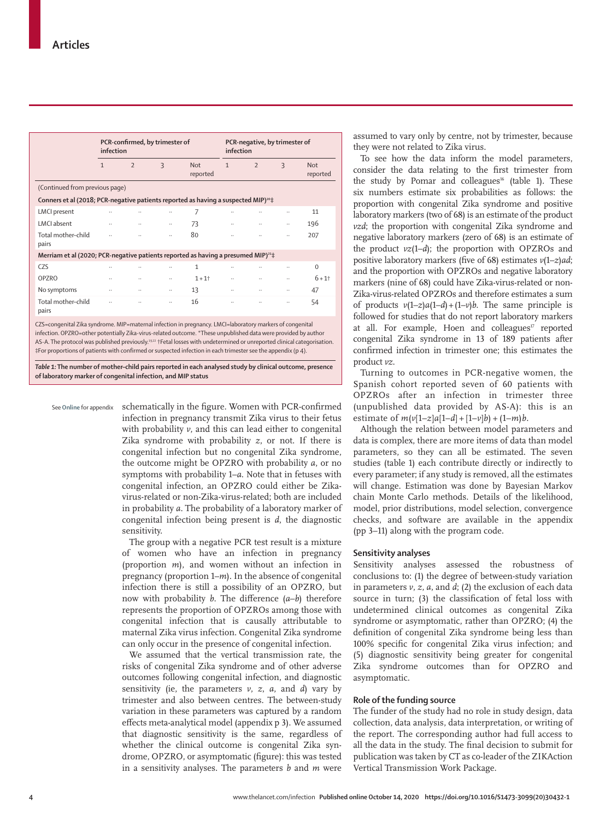|                                                                                                                                                                                                                                                                                                                                                                                                                                                                                    | infection    |                | PCR-confirmed, by trimester of |                        | PCR-negative, by trimester of<br>infection |                |                |                        |  |  |  |  |
|------------------------------------------------------------------------------------------------------------------------------------------------------------------------------------------------------------------------------------------------------------------------------------------------------------------------------------------------------------------------------------------------------------------------------------------------------------------------------------|--------------|----------------|--------------------------------|------------------------|--------------------------------------------|----------------|----------------|------------------------|--|--|--|--|
|                                                                                                                                                                                                                                                                                                                                                                                                                                                                                    | $\mathbf{1}$ | $\overline{2}$ | $\overline{3}$                 | <b>Not</b><br>reported | $\mathbf{1}$                               | $\overline{2}$ | $\overline{3}$ | <b>Not</b><br>reported |  |  |  |  |
| (Continued from previous page)                                                                                                                                                                                                                                                                                                                                                                                                                                                     |              |                |                                |                        |                                            |                |                |                        |  |  |  |  |
| Conners et al (2018; PCR-negative patients reported as having a suspected MIP) <sup>20</sup> #                                                                                                                                                                                                                                                                                                                                                                                     |              |                |                                |                        |                                            |                |                |                        |  |  |  |  |
| <b>LMCI</b> present                                                                                                                                                                                                                                                                                                                                                                                                                                                                |              | $\ddotsc$      |                                | 7                      | $\ddotsc$                                  |                | $\ddotsc$      | 11                     |  |  |  |  |
| LMCI absent                                                                                                                                                                                                                                                                                                                                                                                                                                                                        |              | $\ddotsc$      |                                | 73                     | $\ddotsc$                                  | $\ddotsc$      |                | 196                    |  |  |  |  |
| Total mother-child<br>pairs                                                                                                                                                                                                                                                                                                                                                                                                                                                        |              |                |                                | 80                     | $\ddotsc$                                  |                |                | 207                    |  |  |  |  |
| Merriam et al (2020; PCR-negative patients reported as having a presumed MIP) <sup>21</sup> ‡                                                                                                                                                                                                                                                                                                                                                                                      |              |                |                                |                        |                                            |                |                |                        |  |  |  |  |
| CZS                                                                                                                                                                                                                                                                                                                                                                                                                                                                                |              |                |                                | $\mathbf{1}$           |                                            | $\ddotsc$      |                | $\Omega$               |  |  |  |  |
| <b>OPZRO</b>                                                                                                                                                                                                                                                                                                                                                                                                                                                                       |              | $\ddotsc$      |                                | $1 + 1 +$              | $\ddotsc$                                  |                |                | $6 + 1$ <sup>+</sup>   |  |  |  |  |
| No symptoms                                                                                                                                                                                                                                                                                                                                                                                                                                                                        |              | $\ddotsc$      |                                | 13                     | $\ddotsc$                                  | $\ddotsc$      |                | 47                     |  |  |  |  |
| Total mother-child<br>pairs                                                                                                                                                                                                                                                                                                                                                                                                                                                        |              |                |                                | 16                     | $\ddotsc$                                  |                |                | 54                     |  |  |  |  |
| CZS=congenital Zika syndrome. MIP=maternal infection in pregnancy. LMCI=laboratory markers of congenital<br>infection. OPZRO=other potentially Zika-virus-related outcome. *These unpublished data were provided by author<br>AS-A. The protocol was published previously. <sup>19,22</sup> †Fetal losses with undetermined or unreported clinical categorisation.<br>#For proportions of patients with confirmed or suspected infection in each trimester see the appendix (p 4). |              |                |                                |                        |                                            |                |                |                        |  |  |  |  |

*Table 1:* **The number of mother–child pairs reported in each analysed study by clinical outcome, presence of laboratory marker of congenital infection, and MIP status**

See **Online** for appendix

schematically in the figure. Women with PCR-confirmed infection in pregnancy transmit Zika virus to their fetus with probability *v*, and this can lead either to congenital Zika syndrome with probability *z*, or not. If there is congenital infection but no congenital Zika syndrome, the outcome might be OPZRO with probability *a*, or no symptoms with probability 1–*a*. Note that in fetuses with congenital infection, an OPZRO could either be Zikavirus-related or non-Zika-virus-related; both are included in probability *a*. The probability of a laboratory marker of congenital infection being present is *d*, the diagnostic sensitivity.

The group with a negative PCR test result is a mixture of women who have an infection in pregnancy (proportion *m*), and women without an infection in pregnancy (proportion 1–*m*). In the absence of congenital infection there is still a possibility of an OPZRO, but now with probability *b*. The difference (*a*–*b*) therefore represents the proportion of OPZROs among those with congenital infection that is causally attributable to maternal Zika virus infection. Congenital Zika syndrome can only occur in the presence of congenital infection.

We assumed that the vertical transmission rate, the risks of congenital Zika syndrome and of other adverse outcomes following congenital infection, and diagnostic sensitivity (ie, the parameters *v*, *z*, *a*, and *d*) vary by trimester and also between centres. The between-study variation in these parameters was captured by a random effects meta-analytical model (appendix p 3). We assumed that diagnostic sensitivity is the same, regardless of whether the clinical outcome is congenital Zika syndrome, OPZRO, or asymptomatic (figure): this was tested in a sensitivity analyses. The parameters *b* and *m* were assumed to vary only by centre, not by trimester, because they were not related to Zika virus.

To see how the data inform the model parameters, consider the data relating to the first trimester from the study by Pomar and colleagues<sup>16</sup> (table 1). These six numbers estimate six probabilities as follows: the proportion with congenital Zika syndrome and positive laboratory markers (two of 68) is an estimate of the product *vzd*; the proportion with congenital Zika syndrome and negative laboratory markers (zero of 68) is an estimate of the product *vz*(1–*d*); the proportion with OPZROs and positive laboratory markers (five of 68) estimates *v*(1–*z*)*ad*; and the proportion with OPZROs and negative laboratory markers (nine of 68) could have Zika-virus-related or non-Zika-virus-related OPZROs and therefore estimates a sum of products  $v(1-z)a(1-d)+(1-v)b$ . The same principle is followed for studies that do not report laboratory markers at all. For example, Hoen and colleagues<sup>17</sup> reported congenital Zika syndrome in 13 of 189 patients after confirmed infection in trimester one; this estimates the product *vz*.

Turning to outcomes in PCR-negative women, the Spanish cohort reported seven of 60 patients with OPZROs after an infection in trimester three (unpublished data provided by AS-A): this is an estimate of  $m(v[1-z]a[1-d] + [1-v]b + (1-m)b$ .

Although the relation between model parameters and data is complex, there are more items of data than model parameters, so they can all be estimated. The seven studies (table 1) each contribute directly or indirectly to every parameter; if any study is removed, all the estimates will change. Estimation was done by Bayesian Markov chain Monte Carlo methods. Details of the likelihood, model, prior distributions, model selection, convergence checks, and software are available in the appendix (pp 3–11) along with the program code.

## **Sensitivity analyses**

Sensitivity analyses assessed the robustness of conclusions to: (1) the degree of between-study variation in parameters *v*, *z*, *a*, and *d*; (2) the exclusion of each data source in turn; (3) the classification of fetal loss with undetermined clinical outcomes as congenital Zika syndrome or asymptomatic, rather than OPZRO; (4) the definition of congenital Zika syndrome being less than 100% specific for congenital Zika virus infection; and (5) diagnostic sensitivity being greater for congenital Zika syndrome outcomes than for OPZRO and asymptomatic.

## **Role of the funding source**

The funder of the study had no role in study design, data collection, data analysis, data interpretation, or writing of the report. The corresponding author had full access to all the data in the study. The final decision to submit for publication was taken by CT as co-leader of the ZIKAction Vertical Transmission Work Package.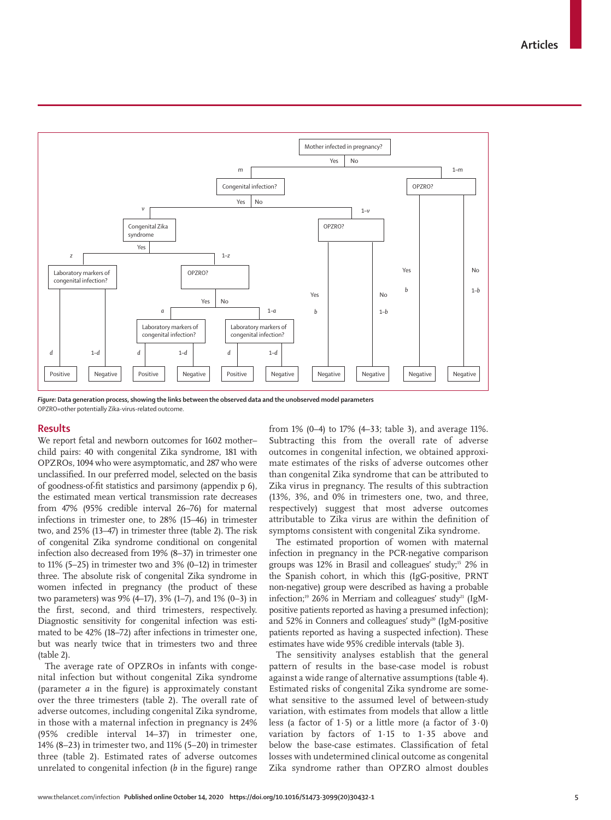

*Figure:* **Data generation process, showing the links between the observed data and the unobserved model parameters** OPZRO=other potentially Zika-virus-related outcome.

## **Results**

We report fetal and newborn outcomes for 1602 mother– child pairs: 40 with congenital Zika syndrome, 181 with OPZROs, 1094 who were asymptomatic, and 287 who were unclassified. In our preferred model, selected on the basis of goodness-of-fit statistics and parsimony (appendix p 6), the estimated mean vertical transmission rate decreases from 47% (95% credible interval 26–76) for maternal infections in trimester one, to 28% (15–46) in trimester two, and 25% (13–47) in trimester three (table 2). The risk of congenital Zika syndrome conditional on congenital infection also decreased from 19% (8–37) in trimester one to 11% (5–25) in trimester two and 3% (0–12) in trimester three. The absolute risk of congenital Zika syndrome in women infected in pregnancy (the product of these two parameters) was 9% (4–17), 3% (1–7), and 1% (0–3) in the first, second, and third trimesters, respectively. Diagnostic sensitivity for congenital infection was estimated to be 42% (18–72) after infections in trimester one, but was nearly twice that in trimesters two and three (table 2).

The average rate of OPZROs in infants with congenital infection but without congenital Zika syndrome (parameter *a* in the figure) is approximately constant over the three trimesters (table 2). The overall rate of adverse outcomes, including congenital Zika syndrome, in those with a maternal infection in pregnancy is 24% (95% credible interval 14–37) in trimester one, 14% (8–23) in trimester two, and 11% (5–20) in trimester three (table 2). Estimated rates of adverse outcomes unrelated to congenital infection (*b* in the figure) range from 1% (0–4) to 17% (4–33; table 3), and average 11%. Subtracting this from the overall rate of adverse outcomes in congenital infection, we obtained approximate estimates of the risks of adverse outcomes other than congenital Zika syndrome that can be attributed to Zika virus in pregnancy. The results of this subtraction (13%, 3%, and 0% in trimesters one, two, and three, respectively) suggest that most adverse outcomes attributable to Zika virus are within the definition of symptoms consistent with congenital Zika syndrome.

The estimated proportion of women with maternal infection in pregnancy in the PCR-negative comparison groups was 12% in Brasil and colleagues' study;15 2% in the Spanish cohort, in which this (IgG-positive, PRNT non-negative) group were described as having a probable infection;<sup>19</sup> 26% in Merriam and colleagues' study<sup>21</sup> (IgMpositive patients reported as having a presumed infection); and 52% in Conners and colleagues' study<sup>20</sup> (IgM-positive patients reported as having a suspected infection). These estimates have wide 95% credible intervals (table 3).

The sensitivity analyses establish that the general pattern of results in the base-case model is robust against a wide range of alternative assumptions (table 4). Estimated risks of congenital Zika syndrome are somewhat sensitive to the assumed level of between-study variation, with estimates from models that allow a little less (a factor of 1 $\cdot$ 5) or a little more (a factor of 3 $\cdot$ 0) variation by factors of 1·15 to 1·35 above and below the base-case estimates. Classification of fetal losses with undetermined clinical outcome as congenital Zika syndrome rather than OPZRO almost doubles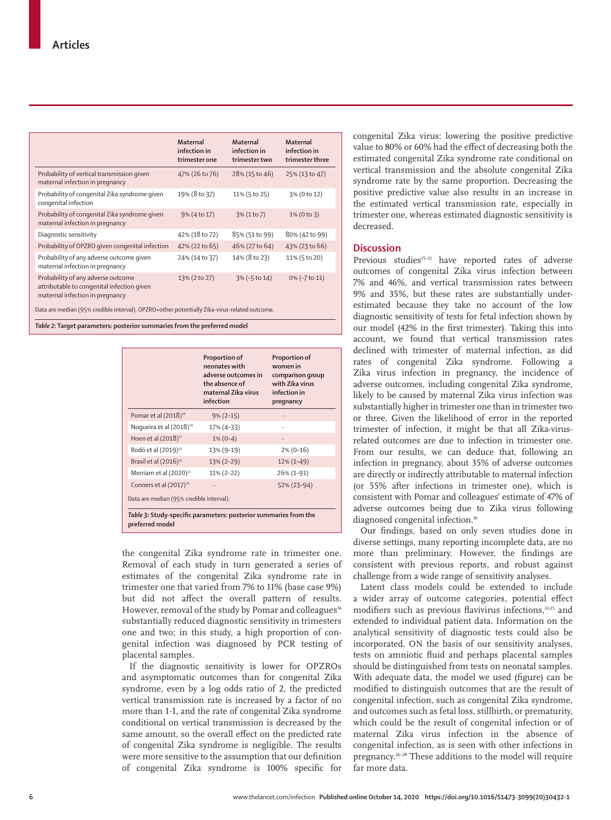|                                                                                                                     | Maternal<br>infection in<br>trimester one | Maternal<br>infection in<br>trimester two | Maternal<br>infection in<br>trimester three |  |  |  |  |  |  |
|---------------------------------------------------------------------------------------------------------------------|-------------------------------------------|-------------------------------------------|---------------------------------------------|--|--|--|--|--|--|
| Probability of vertical transmission given<br>maternal infection in pregnancy                                       | 47% (26 to 76)                            | 28% (15 to 46)                            | 25% (13 to 47)                              |  |  |  |  |  |  |
| Probability of congenital Zika syndrome given<br>congenital infection                                               | 19% (8 to 37)                             | 11% (5 to 25)                             | 3% (0 to 12)                                |  |  |  |  |  |  |
| Probability of congenital Zika syndrome given<br>maternal infection in pregnancy                                    | 9% (4 to 17)                              | 3% (1 to 7)                               | $1\% (0 to 3)$                              |  |  |  |  |  |  |
| Diagnostic sensitivity                                                                                              | 42% (18 to 72)                            | 85% (51 to 99)                            | 80% (42 to 99)                              |  |  |  |  |  |  |
| Probability of OPZRO given congenital infection                                                                     | 42% (22 to 65)                            | 46% (27 to 64)                            | 43% (23 to 66)                              |  |  |  |  |  |  |
| Probability of any adverse outcome given<br>maternal infection in pregnancy                                         | 24% (14 to 37)                            | 14% (8 to 23)                             | 11% (5 to 20)                               |  |  |  |  |  |  |
| Probability of any adverse outcome<br>attributable to congenital infection given<br>maternal infection in pregnancy | 13% (2 to 27)                             | 3% (-5 to 14)                             | 0% (-7 to 11)                               |  |  |  |  |  |  |
| Data are median (95% credible interval). OPZRO=other potentially Zika-virus-related outcome.                        |                                           |                                           |                                             |  |  |  |  |  |  |

*Table 2:* **Target parameters: posterior summaries from the preferred model**

|                                                                                     | Proportion of<br>neonates with<br>adverse outcomes in<br>the absence of<br>maternal Zika virus<br>infection | Proportion of<br>women in<br>comparison group<br>with Zika virus<br>infection in<br>pregnancy |  |  |  |  |  |  |  |
|-------------------------------------------------------------------------------------|-------------------------------------------------------------------------------------------------------------|-----------------------------------------------------------------------------------------------|--|--|--|--|--|--|--|
| Pomar et al (2018) <sup>16</sup>                                                    | $9\% (2 - 15)$                                                                                              |                                                                                               |  |  |  |  |  |  |  |
| Noqueira et al (2018) <sup>18</sup>                                                 | 17% (4-33)                                                                                                  |                                                                                               |  |  |  |  |  |  |  |
| Hoen et al (2018) <sup>17</sup>                                                     | $1\%$ (0-4)                                                                                                 |                                                                                               |  |  |  |  |  |  |  |
| Rodó et al (2019) <sup>19</sup>                                                     | 13% (9-19)                                                                                                  | $2\% (0-16)$                                                                                  |  |  |  |  |  |  |  |
| Brasil et al (2016) <sup>15</sup>                                                   | 13% (2-29)                                                                                                  | $12\%$ (1-49)                                                                                 |  |  |  |  |  |  |  |
| Merriam et al (2020) <sup>21</sup>                                                  | $11\% (2-22)$                                                                                               | $26\% (1-91)$                                                                                 |  |  |  |  |  |  |  |
| Conners et al (2017) <sup>20</sup><br>52% (23-94)<br>                               |                                                                                                             |                                                                                               |  |  |  |  |  |  |  |
| Data are median (95% credible interval).                                            |                                                                                                             |                                                                                               |  |  |  |  |  |  |  |
| Table 3: Study-specific parameters: posterior summaries from the<br>preferred model |                                                                                                             |                                                                                               |  |  |  |  |  |  |  |

the congenital Zika syndrome rate in trimester one. Removal of each study in turn generated a series of estimates of the congenital Zika syndrome rate in trimester one that varied from 7% to 11% (base case 9%) but did not affect the overall pattern of results. However, removal of the study by Pomar and colleagues<sup>16</sup> substantially reduced diagnostic sensitivity in trimesters one and two; in this study, a high proportion of congenital infection was diagnosed by PCR testing of placental samples.

If the diagnostic sensitivity is lower for OPZROs and asymptomatic outcomes than for congenital Zika syndrome, even by a log odds ratio of 2, the predicted vertical transmission rate is increased by a factor of no more than 1*·*1, and the rate of congenital Zika syndrome conditional on vertical transmission is decreased by the same amount, so the overall effect on the predicted rate of congenital Zika syndrome is negligible. The results were more sensitive to the assumption that our definition of congenital Zika syndrome is 100% specific for congenital Zika virus: lowering the positive predictive value to 80% or 60% had the effect of decreasing both the estimated congenital Zika syndrome rate conditional on vertical transmission and the absolute congenital Zika syndrome rate by the same proportion. Decreasing the positive predictive value also results in an increase in the estimated vertical transmission rate, especially in trimester one, whereas estimated diagnostic sensitivity is decreased.

## **Discussion**

Previous studies<sup>15–21</sup> have reported rates of adverse outcomes of congenital Zika virus infection between 7% and 46%, and vertical transmission rates between 9% and 35%, but these rates are substantially underestimated because they take no account of the low diagnostic sensitivity of tests for fetal infection shown by our model (42% in the first trimester). Taking this into account, we found that vertical transmission rates declined with trimester of maternal infection, as did rates of congenital Zika syndrome. Following a Zika virus infection in pregnancy, the incidence of adverse outcomes, including congenital Zika syndrome, likely to be caused by maternal Zika virus infection was substantially higher in trimester one than in trimester two or three. Given the likelihood of error in the reported trimester of infection, it might be that all Zika-virusrelated outcomes are due to infection in trimester one. From our results, we can deduce that, following an infection in pregnancy, about 35% of adverse outcomes are directly or indirectly attributable to maternal infection (or 55% after infections in trimester one), which is consistent with Pomar and colleagues' estimate of 47% of adverse outcomes being due to Zika virus following diagnosed congenital infection.<sup>16</sup>

Our findings, based on only seven studies done in diverse settings, many reporting incomplete data, are no more than preliminary. However, the findings are consistent with previous reports, and robust against challenge from a wide range of sensitivity analyses.

Latent class models could be extended to include a wider array of outcome categories, potential effect modifiers such as previous flavivirus infections.<sup>24,25</sup> and extended to individual patient data. Information on the analytical sensitivity of diagnostic tests could also be incorporated. ON the basis of our sensitivity analyses, tests on amniotic fluid and perhaps placental samples should be distinguished from tests on neonatal samples. With adequate data, the model we used (figure) can be modified to distinguish outcomes that are the result of congenital infection, such as congenital Zika syndrome, and outcomes such as fetal loss, stillbirth, or prematurity, which could be the result of congenital infection or of maternal Zika virus infection in the absence of congenital infection, as is seen with other infections in pregnancy.26–28 These additions to the model will require far more data.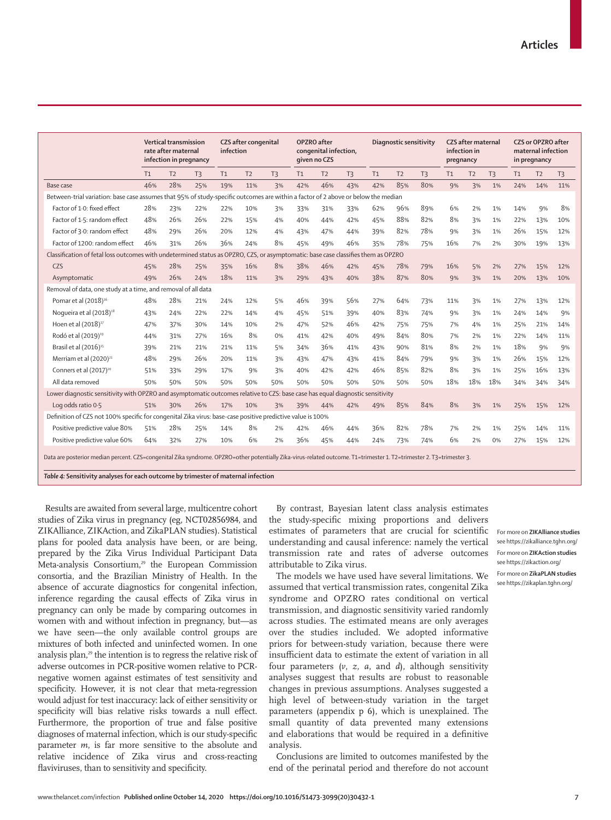|                                                                                                                                                                      |     | Vertical transmission<br>rate after maternal<br>infection in pregnancy |                | CZS after congenital<br>infection |                |                | <b>OPZRO</b> after<br>congenital infection,<br>given no CZS |                | Diagnostic sensitivity |     | <b>CZS after maternal</b><br>infection in<br>pregnancy |                |     | <b>CZS or OPZRO after</b><br>maternal infection<br>in pregnancy |                |     |                |                |
|----------------------------------------------------------------------------------------------------------------------------------------------------------------------|-----|------------------------------------------------------------------------|----------------|-----------------------------------|----------------|----------------|-------------------------------------------------------------|----------------|------------------------|-----|--------------------------------------------------------|----------------|-----|-----------------------------------------------------------------|----------------|-----|----------------|----------------|
|                                                                                                                                                                      | T1  | T <sub>2</sub>                                                         | T <sub>3</sub> | T1                                | T <sub>2</sub> | T <sub>3</sub> | T1                                                          | T <sub>2</sub> | T <sub>3</sub>         | T1  | T <sub>2</sub>                                         | T <sub>3</sub> | T1  | T <sub>2</sub>                                                  | T <sub>3</sub> | T1  | T <sub>2</sub> | T <sub>3</sub> |
| Base case                                                                                                                                                            | 46% | 28%                                                                    | 25%            | 19%                               | 11%            | 3%             | 42%                                                         | 46%            | 43%                    | 42% | 85%                                                    | 80%            | 9%  | 3%                                                              | 1%             | 24% | 14%            | 11%            |
| Between-trial variation: base case assumes that 95% of study-specific outcomes are within a factor of 2 above or below the median                                    |     |                                                                        |                |                                   |                |                |                                                             |                |                        |     |                                                        |                |     |                                                                 |                |     |                |                |
| Factor of 1.0: fixed effect                                                                                                                                          | 28% | 23%                                                                    | 22%            | 22%                               | 10%            | 3%             | 33%                                                         | 31%            | 33%                    | 62% | 96%                                                    | 89%            | 6%  | 2%                                                              | 1%             | 14% | 9%             | 8%             |
| Factor of 1.5: random effect                                                                                                                                         | 48% | 26%                                                                    | 26%            | 22%                               | 15%            | 4%             | 40%                                                         | 44%            | 42%                    | 45% | 88%                                                    | 82%            | 8%  | 3%                                                              | 1%             | 22% | 13%            | 10%            |
| Factor of 3.0: random effect                                                                                                                                         | 48% | 29%                                                                    | 26%            | 20%                               | 12%            | 4%             | 43%                                                         | 47%            | 44%                    | 39% | 82%                                                    | 78%            | 9%  | 3%                                                              | 1%             | 26% | 15%            | 12%            |
| Factor of 1200: random effect                                                                                                                                        | 46% | 31%                                                                    | 26%            | 36%                               | 24%            | 8%             | 45%                                                         | 49%            | 46%                    | 35% | 78%                                                    | 75%            | 16% | 7%                                                              | 2%             | 30% | 19%            | 13%            |
| Classification of fetal loss outcomes with undetermined status as OPZRO, CZS, or asymptomatic: base case classifies them as OPZRO                                    |     |                                                                        |                |                                   |                |                |                                                             |                |                        |     |                                                        |                |     |                                                                 |                |     |                |                |
| CZS                                                                                                                                                                  | 45% | 28%                                                                    | 25%            | 35%                               | 16%            | 8%             | 38%                                                         | 46%            | 42%                    | 45% | 78%                                                    | 79%            | 16% | 5%                                                              | 2%             | 27% | 15%            | 12%            |
| Asymptomatic                                                                                                                                                         | 49% | 26%                                                                    | 24%            | 18%                               | 11%            | 3%             | 29%                                                         | 43%            | 40%                    | 38% | 87%                                                    | 80%            | 9%  | 3%                                                              | 1%             | 20% | 13%            | 10%            |
| Removal of data, one study at a time, and removal of all data                                                                                                        |     |                                                                        |                |                                   |                |                |                                                             |                |                        |     |                                                        |                |     |                                                                 |                |     |                |                |
| Pomar et al (2018) <sup>16</sup>                                                                                                                                     | 48% | 28%                                                                    | 21%            | 24%                               | 12%            | 5%             | 46%                                                         | 39%            | 56%                    | 27% | 64%                                                    | 73%            | 11% | 3%                                                              | 1%             | 27% | 13%            | 12%            |
| Noqueira et al (2018) <sup>18</sup>                                                                                                                                  | 43% | 24%                                                                    | 22%            | 22%                               | 14%            | 4%             | 45%                                                         | 51%            | 39%                    | 40% | 83%                                                    | 74%            | 9%  | 3%                                                              | 1%             | 24% | 14%            | 9%             |
| Hoen et al (2018) <sup>17</sup>                                                                                                                                      | 47% | 37%                                                                    | 30%            | 14%                               | 10%            | 2%             | 47%                                                         | 52%            | 46%                    | 42% | 75%                                                    | 75%            | 7%  | 4%                                                              | 1%             | 25% | 21%            | 14%            |
| Rodó et al (2019) <sup>19</sup>                                                                                                                                      | 44% | 31%                                                                    | 27%            | 16%                               | 8%             | 0%             | 41%                                                         | 42%            | 40%                    | 49% | 84%                                                    | 80%            | 7%  | 2%                                                              | 1%             | 22% | 14%            | 11%            |
| Brasil et al (2016) <sup>15</sup>                                                                                                                                    | 39% | 21%                                                                    | 21%            | 21%                               | 11%            | 5%             | 34%                                                         | 36%            | 41%                    | 43% | 90%                                                    | 81%            | 8%  | 2%                                                              | 1%             | 18% | 9%             | 9%             |
| Merriam et al (2020) <sup>21</sup>                                                                                                                                   | 48% | 29%                                                                    | 26%            | 20%                               | 11%            | 3%             | 43%                                                         | 47%            | 43%                    | 41% | 84%                                                    | 79%            | 9%  | 3%                                                              | 1%             | 26% | 15%            | 12%            |
| Conners et al (2017) <sup>20</sup>                                                                                                                                   | 51% | 33%                                                                    | 29%            | 17%                               | 9%             | 3%             | 40%                                                         | 42%            | 42%                    | 46% | 85%                                                    | 82%            | 8%  | 3%                                                              | 1%             | 25% | 16%            | 13%            |
| All data removed                                                                                                                                                     | 50% | 50%                                                                    | 50%            | 50%                               | 50%            | 50%            | 50%                                                         | 50%            | 50%                    | 50% | 50%                                                    | 50%            | 18% | 18%                                                             | 18%            | 34% | 34%            | 34%            |
| Lower diagnostic sensitivity with OPZRO and asymptomatic outcomes relative to CZS: base case has equal diagnostic sensitivity                                        |     |                                                                        |                |                                   |                |                |                                                             |                |                        |     |                                                        |                |     |                                                                 |                |     |                |                |
| Log odds ratio 0.5                                                                                                                                                   | 51% | 30%                                                                    | 26%            | 17%                               | 10%            | 3%             | 39%                                                         | 44%            | 42%                    | 49% | 85%                                                    | 84%            | 8%  | 3%                                                              | 1%             | 25% | 15%            | 12%            |
| Definition of CZS not 100% specific for congenital Zika virus: base-case positive predictive value is 100%                                                           |     |                                                                        |                |                                   |                |                |                                                             |                |                        |     |                                                        |                |     |                                                                 |                |     |                |                |
| Positive predictive value 80%                                                                                                                                        | 51% | 28%                                                                    | 25%            | 14%                               | 8%             | 2%             | 42%                                                         | 46%            | 44%                    | 36% | 82%                                                    | 78%            | 7%  | 2%                                                              | 1%             | 25% | 14%            | 11%            |
| Positive predictive value 60%                                                                                                                                        | 64% | 32%                                                                    | 27%            | 10%                               | 6%             | 2%             | 36%                                                         | 45%            | 44%                    | 24% | 73%                                                    | 74%            | 6%  | 2%                                                              | 0%             | 27% | 15%            | 12%            |
| Data are posterior median percent. CZS=congenital Zika syndrome. OPZRO=other potentially Zika-virus-related outcome. T1=trimester 1. T2=trimester 2. T3=trimester 3. |     |                                                                        |                |                                   |                |                |                                                             |                |                        |     |                                                        |                |     |                                                                 |                |     |                |                |

*Table 4:* **Sensitivity analyses for each outcome by trimester of maternal infection**

Results are awaited from several large, multicentre cohort studies of Zika virus in pregnancy (eg, NCT02856984, and [ZIKAlliance](https://zikalliance.tghn.org), [ZIKAction,](https://zikaction.org/) and [ZikaPLAN](https://zikaplan.tghn.org/) studies). Statistical plans for pooled data analysis have been, or are being, prepared by the Zika Virus Individual Participant Data Meta-analysis Consortium,<sup>29</sup> the European Commission consortia, and the Brazilian Ministry of Health. In the absence of accurate diagnostics for congenital infection, inference regarding the causal effects of Zika virus in pregnancy can only be made by comparing outcomes in women with and without infection in pregnancy, but—as we have seen—the only available control groups are mixtures of both infected and uninfected women. In one analysis plan,<sup>29</sup> the intention is to regress the relative risk of adverse outcomes in PCR-positive women relative to PCRnegative women against estimates of test sensitivity and specificity. However, it is not clear that meta-regression would adjust for test inaccuracy: lack of either sensitivity or specificity will bias relative risks towards a null effect. Furthermore, the proportion of true and false positive diagnoses of maternal infection, which is our study-specific parameter *m*, is far more sensitive to the absolute and relative incidence of Zika virus and cross-reacting flaviviruses, than to sensitivity and specificity.

By contrast, Bayesian latent class analysis estimates the study-specific mixing proportions and delivers estimates of parameters that are crucial for scientific understanding and causal inference: namely the vertical transmission rate and rates of adverse outcomes attributable to Zika virus.

The models we have used have several limitations. We assumed that vertical transmission rates, congenital Zika syndrome and OPZRO rates conditional on vertical transmission, and diagnostic sensitivity varied randomly across studies. The estimated means are only averages over the studies included. We adopted informative priors for between-study variation, because there were insufficient data to estimate the extent of variation in all four parameters (*v*, *z*, *a*, and *d*), although sensitivity analyses suggest that results are robust to reasonable changes in previous assumptions. Analyses suggested a high level of between-study variation in the target parameters (appendix p 6), which is unexplained. The small quantity of data prevented many extensions and elaborations that would be required in a definitive analysis.

Conclusions are limited to outcomes manifested by the end of the perinatal period and therefore do not account For more on **ZIKAlliance studies**  see <https://zikalliance.tghn.org/> For more on **ZIKAction studies**  see <https://zikaction.org/> For more on **ZikaPLAN studies** see <https://zikaplan.tghn.org/>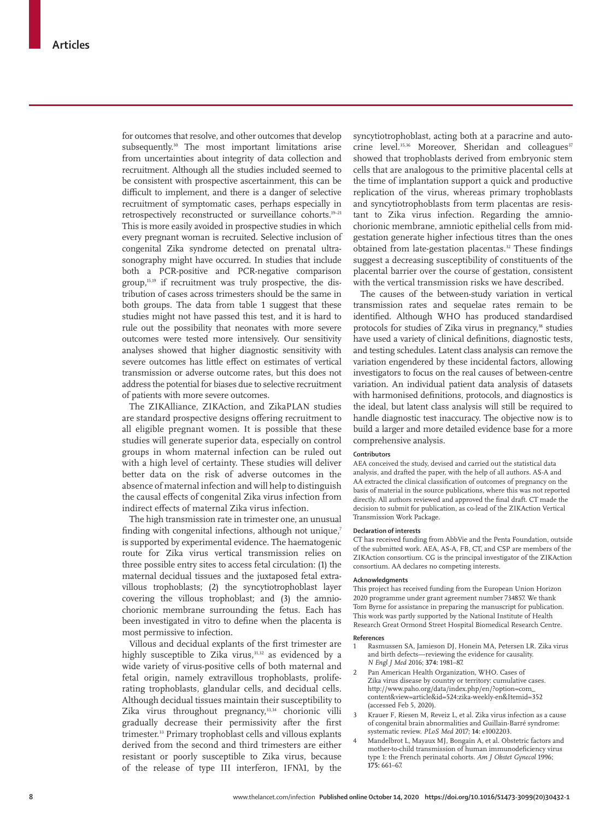for outcomes that resolve, and other outcomes that develop subsequently.<sup>30</sup> The most important limitations arise from uncertainties about integrity of data collection and recruitment. Although all the studies included seemed to be consistent with prospective ascertainment, this can be difficult to implement, and there is a danger of selective recruitment of symptomatic cases, perhaps especially in retrospectively reconstructed or surveillance cohorts.19–21 This is more easily avoided in prospective studies in which every pregnant woman is recruited. Selective inclusion of congenital Zika syndrome detected on prenatal ultrasonography might have occurred. In studies that include both a PCR-positive and PCR-negative comparison group,<sup>15,19</sup> if recruitment was truly prospective, the distribution of cases across trimesters should be the same in both groups. The data from table 1 suggest that these studies might not have passed this test, and it is hard to rule out the possibility that neonates with more severe outcomes were tested more intensively. Our sensitivity analyses showed that higher diagnostic sensitivity with severe outcomes has little effect on estimates of vertical transmission or adverse outcome rates, but this does not address the potential for biases due to selective recruitment of patients with more severe outcomes.

The ZIKAlliance, ZIKAction, and ZikaPLAN studies are standard prospective designs offering recruitment to all eligible pregnant women. It is possible that these studies will generate superior data, especially on control groups in whom maternal infection can be ruled out with a high level of certainty. These studies will deliver better data on the risk of adverse outcomes in the absence of maternal infection and will help to distinguish the causal effects of congenital Zika virus infection from indirect effects of maternal Zika virus infection.

The high transmission rate in trimester one, an unusual finding with congenital infections, although not unique,7 is supported by experimental evidence. The haematogenic route for Zika virus vertical transmission relies on three possible entry sites to access fetal circulation: (1) the maternal decidual tissues and the juxtaposed fetal extravillous trophoblasts; (2) the syncytiotrophoblast layer covering the villous trophoblast; and (3) the amniochorionic membrane surrounding the fetus. Each has been investigated in vitro to define when the placenta is most permissive to infection.

Villous and decidual explants of the first trimester are highly susceptible to Zika virus, $31,32$  as evidenced by a wide variety of virus-positive cells of both maternal and fetal origin, namely extravillous trophoblasts, proliferating trophoblasts, glandular cells, and decidual cells. Although decidual tissues maintain their susceptibility to Zika virus throughout pregnancy,<sup>33,34</sup> chorionic villi gradually decrease their permissivity after the first trimester.33 Primary trophoblast cells and villous explants derived from the second and third trimesters are either resistant or poorly susceptible to Zika virus, because of the release of type III interferon, IFNλ1, by the syncytiotrophoblast, acting both at a paracrine and autocrine level.<sup>35,36</sup> Moreover, Sheridan and colleagues<sup>37</sup> showed that trophoblasts derived from embryonic stem cells that are analogous to the primitive placental cells at the time of implantation support a quick and productive replication of the virus, whereas primary trophoblasts and syncytiotrophoblasts from term placentas are resistant to Zika virus infection. Regarding the amniochorionic membrane, amniotic epithelial cells from midgestation generate higher infectious titres than the ones obtained from late-gestation placentas.<sup>32</sup> These findings suggest a decreasing susceptibility of constituents of the placental barrier over the course of gestation, consistent with the vertical transmission risks we have described.

The causes of the between-study variation in vertical transmission rates and sequelae rates remain to be identified. Although WHO has produced standardised protocols for studies of Zika virus in pregnancy,<sup>38</sup> studies have used a variety of clinical definitions, diagnostic tests, and testing schedules. Latent class analysis can remove the variation engendered by these incidental factors, allowing investigators to focus on the real causes of between-centre variation. An individual patient data analysis of datasets with harmonised definitions, protocols, and diagnostics is the ideal, but latent class analysis will still be required to handle diagnostic test inaccuracy. The objective now is to build a larger and more detailed evidence base for a more comprehensive analysis.

### **Contributors**

AEA conceived the study, devised and carried out the statistical data analysis, and drafted the paper, with the help of all authors. AS-A and AA extracted the clinical classification of outcomes of pregnancy on the basis of material in the source publications, where this was not reported directly. All authors reviewed and approved the final draft. CT made the decision to submit for publication, as co-lead of the ZIKAction Vertical Transmission Work Package.

#### **Declaration of interests**

CT has received funding from AbbVie and the Penta Foundation, outside of the submitted work. AEA, AS-A, FB, CT, and CSP are members of the ZIKAction consortium. CG is the principal investigator of the ZIKAction consortium. AA declares no competing interests.

### **Acknowledgments**

This project has received funding from the European Union Horizon 2020 programme under grant agreement number 734857. We thank Tom Byrne for assistance in preparing the manuscript for publication. This work was partly supported by the National Institute of Health Research Great Ormond Street Hospital Biomedical Research Centre.

#### **References**

- 1 Rasmussen SA, Jamieson DJ, Honein MA, Petersen LR. Zika virus and birth defects—reviewing the evidence for causality. *N Engl J Med* 2016; **374:** 1981–87.
- 2 Pan American Health Organization, WHO. Cases of Zika virus disease by country or territory: cumulative cases. http://www.paho.org/data/index.php/en/?option=com\_ content&view=article&id=524:zika-weekly-en&Itemid=352 (accessed Feb 5, 2020).
- 3 Krauer F, Riesen M, Reveiz L, et al. Zika virus infection as a cause of congenital brain abnormalities and Guillain-Barré syndrome: systematic review. *PLoS Med* 2017; **14:** e1002203.
- 4 Mandelbrot L, Mayaux MJ, Bongain A, et al. Obstetric factors and mother-to-child transmission of human immunodeficiency virus type 1: the French perinatal cohorts. *Am J Obstet Gynecol* 1996; **175:** 661–67.